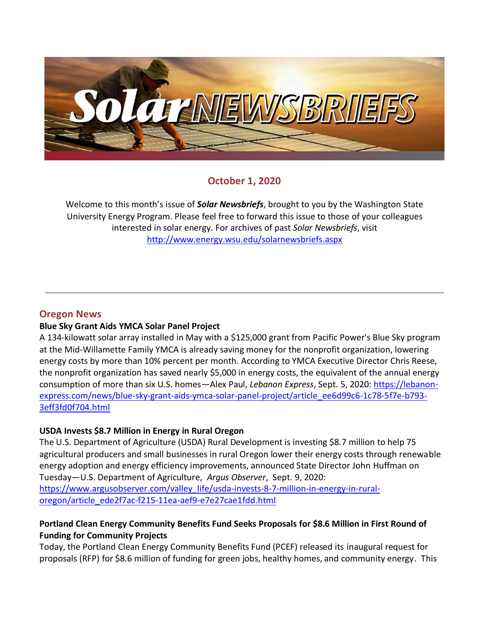

# **October 1, 2020**

Welcome to this month's issue of *Solar Newsbriefs*, brought to you by the Washington State University Energy Program. Please feel free to forward this issue to those of your colleagues interested in solar energy. For archives of past *Solar Newsbriefs*, visit <http://www.energy.wsu.edu/solarnewsbriefs.aspx>

## **Oregon News**

## **Blue Sky Grant Aids YMCA Solar Panel Project**

A 134-kilowatt solar array installed in May with a \$125,000 grant from Pacific Power's Blue Sky program at the Mid-Willamette Family YMCA is already saving money for the nonprofit organization, lowering energy costs by more than 10% percent per month. According to YMCA Executive Director Chris Reese, the nonprofit organization has saved nearly \$5,000 in energy costs, the equivalent of the annual energy consumption of more than six U.S. homes—Alex Paul, *Lebanon Express*, Sept. 5, 2020[: https://lebanon](https://lebanon-express.com/news/blue-sky-grant-aids-ymca-solar-panel-project/article_ee6d99c6-1c78-5f7e-b793-3eff3fd0f704.html)[express.com/news/blue-sky-grant-aids-ymca-solar-panel-project/article\\_ee6d99c6-1c78-5f7e-b793-](https://lebanon-express.com/news/blue-sky-grant-aids-ymca-solar-panel-project/article_ee6d99c6-1c78-5f7e-b793-3eff3fd0f704.html) [3eff3fd0f704.html](https://lebanon-express.com/news/blue-sky-grant-aids-ymca-solar-panel-project/article_ee6d99c6-1c78-5f7e-b793-3eff3fd0f704.html)

## **USDA Invests \$8.7 Million in Energy in Rural Oregon**

The U.S. Department of Agriculture (USDA) Rural Development is investing \$8.7 million to help 75 agricultural producers and small businesses in rural Oregon lower their energy costs through renewable energy adoption and energy efficiency improvements, announced State Director John Huffman on Tuesday—U.S. Department of Agriculture, *Argus Observer*, Sept. 9, 2020[:](https://www.argusobserver.com/valley_life/usda-invests-8-7-million-in-energy-in-rural-oregon/article_ede2f7ac-f215-11ea-aef9-e7e27cae1fdd.html)  [https://www.argusobserver.com/valley\\_life/usda-invests-8-7-million-in-energy-in-rural](https://www.argusobserver.com/valley_life/usda-invests-8-7-million-in-energy-in-rural-oregon/article_ede2f7ac-f215-11ea-aef9-e7e27cae1fdd.html)[oregon/article\\_ede2f7ac-f215-11ea-aef9-e7e27cae1fdd.html](https://www.argusobserver.com/valley_life/usda-invests-8-7-million-in-energy-in-rural-oregon/article_ede2f7ac-f215-11ea-aef9-e7e27cae1fdd.html)

## **Portland Clean Energy Community Benefits Fund Seeks Proposals for \$8.6 Million in First Round of Funding for Community Projects**

Today, the Portland Clean Energy Community Benefits Fund (PCEF) released its [inaugural request for](https://www.portland.gov/bps/cleanenergy/guide-pcef-grant-application-process)  [proposals \(RFP\)](https://www.portland.gov/bps/cleanenergy/guide-pcef-grant-application-process) for \$8.6 million of funding for green jobs, healthy homes, and community energy. This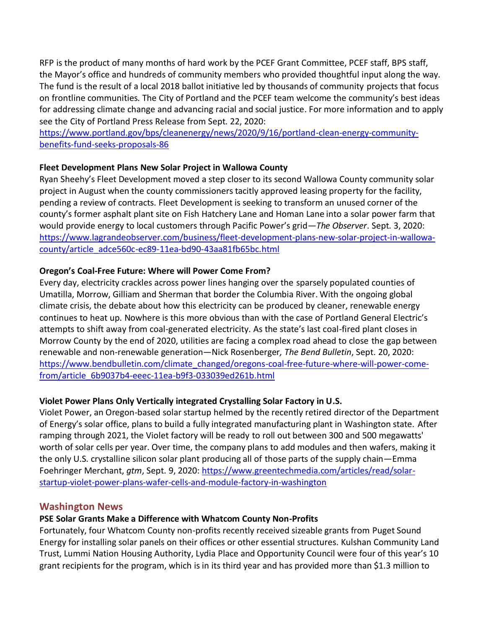RFP is the product of many months of hard work by the PCEF Grant Committee, PCEF staff, BPS staff, the Mayor's office and hundreds of community members who provided thoughtful input along the way. The fund is the result of a local 2018 ballot initiative led by thousands of community projects that focus on frontline communities. The City of Portland and the PCEF team welcome the community's best ideas for addressing climate change and advancing racial and social justice. For more information and to apply see the City of Portland Press Release from Sept. 22, 2020:

[https://www.portland.gov/bps/cleanenergy/news/2020/9/16/portland-clean-energy-community](https://www.portland.gov/bps/cleanenergy/news/2020/9/16/portland-clean-energy-community-benefits-fund-seeks-proposals-86)[benefits-fund-seeks-proposals-86](https://www.portland.gov/bps/cleanenergy/news/2020/9/16/portland-clean-energy-community-benefits-fund-seeks-proposals-86)

## **Fleet Development Plans New Solar Project in Wallowa County**

Ryan Sheehy's Fleet Development moved a step closer to its second Wallowa County community solar project in August when the county commissioners tacitly approved leasing property for the facility, pending a review of contracts. Fleet Development is seeking to transform an unused corner of the county's former asphalt plant site on Fish Hatchery Lane and Homan Lane into a solar power farm that would provide energy to local customers through Pacific Power's grid—*The Observer*. Sept. 3, 2020: [https://www.lagrandeobserver.com/business/fleet-development-plans-new-solar-project-in-wallowa](https://www.lagrandeobserver.com/business/fleet-development-plans-new-solar-project-in-wallowa-county/article_adce560c-ec89-11ea-bd90-43aa81fb65bc.html)[county/article\\_adce560c-ec89-11ea-bd90-43aa81fb65bc.html](https://www.lagrandeobserver.com/business/fleet-development-plans-new-solar-project-in-wallowa-county/article_adce560c-ec89-11ea-bd90-43aa81fb65bc.html)

## **Oregon's Coal-Free Future: Where will Power Come From?**

Every day, electricity crackles across power lines hanging over the sparsely populated counties of Umatilla, Morrow, Gilliam and Sherman that border the Columbia River. With the ongoing global climate crisis, the debate about how this electricity can be produced by cleaner, renewable energy continues to heat up. Nowhere is this more obvious than with the case of Portland General Electric's attempts to shift away from coal-generated electricity. As the state's last coal-fired plant closes in Morrow County by the end of 2020, utilities are facing a complex road ahead to close the gap between renewable and non-renewable generation—Nick Rosenberger*, The Bend Bulletin*, Sept. 20, 2020: [https://www.bendbulletin.com/climate\\_changed/oregons-coal-free-future-where-will-power-come](https://www.bendbulletin.com/climate_changed/oregons-coal-free-future-where-will-power-come-from/article_6b9037b4-eeec-11ea-b9f3-033039ed261b.html)[from/article\\_6b9037b4-eeec-11ea-b9f3-033039ed261b.html](https://www.bendbulletin.com/climate_changed/oregons-coal-free-future-where-will-power-come-from/article_6b9037b4-eeec-11ea-b9f3-033039ed261b.html) 

# **Violet Power Plans Only Vertically integrated Crystalling Solar Factory in U.S.**

Violet Power, an Oregon-based solar startup helmed by the recently retired director of the Department of Energy's solar office, plans to build a fully integrated manufacturing plant in Washington state. After ramping through 2021, the Violet factory will be ready to roll out between 300 and 500 megawatts' worth of solar cells per year. Over time, the company plans to add modules and then wafers, making it the only U.S. crystalline silicon solar plant producing all of those parts of the supply chain—Emma Foehringer Merchant, *gtm*, Sept. 9, 2020: [https://www.greentechmedia.com/articles/read/solar](https://www.greentechmedia.com/articles/read/solar-startup-violet-power-plans-wafer-cells-and-module-factory-in-washington)[startup-violet-power-plans-wafer-cells-and-module-factory-in-washington](https://www.greentechmedia.com/articles/read/solar-startup-violet-power-plans-wafer-cells-and-module-factory-in-washington)

# **Washington News**

# **PSE Solar Grants Make a Difference with Whatcom County Non-Profits**

Fortunately, four Whatcom County non-profits recently received sizeable grants from [Puget Sound](https://www.pse.com/)  [Energy](https://www.pse.com/) for installing solar panels on their offices or other essential structures. Kulshan Community Land Trust, [Lummi Nation Housing Authority](https://www.hud.gov/program_offices/public_indian_housing/ih/codetalk/onap/nwonap/lummi), Lydia Place and Opportunity Council were four of this year's 10 grant recipients for the program, which is in its third year and has provided more than \$1.3 million to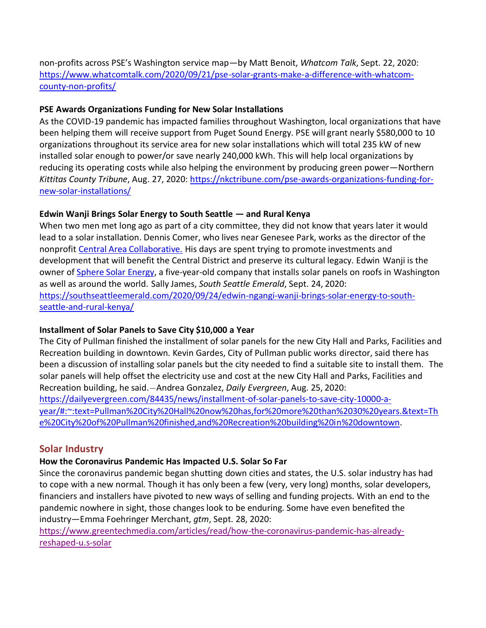non-profits across PSE's Washington service map—by Matt Benoit, *Whatcom Talk*, Sept. 22, 2020: [https://www.whatcomtalk.com/2020/09/21/pse-solar-grants-make-a-difference-with-whatcom](https://www.whatcomtalk.com/2020/09/21/pse-solar-grants-make-a-difference-with-whatcom-county-non-profits/)[county-non-profits/](https://www.whatcomtalk.com/2020/09/21/pse-solar-grants-make-a-difference-with-whatcom-county-non-profits/)

## **PSE Awards Organizations Funding for New Solar Installations**

As the COVID-19 pandemic has impacted families throughout Washington, local organizations that have been helping them will receive support from Puget Sound Energy. PSE will grant nearly \$580,000 to 10 organizations throughout its service area for new solar installations which will total 235 kW of new installed solar enough to power/or save nearly 240,000 kWh. This will help local organizations by reducing its operating costs while also helping the environment by producing green power—Northern *Kittitas County Tribune*, Aug. 27, 2020: [https://nkctribune.com/pse-awards-organizations-funding-for](https://nkctribune.com/pse-awards-organizations-funding-for-new-solar-installations/)[new-solar-installations/](https://nkctribune.com/pse-awards-organizations-funding-for-new-solar-installations/)

# **Edwin Wanji Brings Solar Energy to South Seattle — and Rural Kenya**

When two men met long ago as part of a city committee, they did not know that years later it would lead to a solar installation. Dennis Comer, who lives near Genesee Park, works as the director of the nonprofit [Central Area Collaborative.](https://cacseattle.org/) His days are spent trying to promote investments and development that will benefit the Central District and preserve its cultural legacy. Edwin Wanji is the owner of [Sphere Solar Energy,](https://spheresolarenergy.com/certified-minority-owned/) a five-year-old company that installs solar panels on roofs in Washington as well as around the world. Sally James, *South Seattle Emerald*, Sept. 24, 2020: [https://southseattleemerald.com/2020/09/24/edwin-ngangi-wanji-brings-solar-energy-to-south](https://southseattleemerald.com/2020/09/24/edwin-ngangi-wanji-brings-solar-energy-to-south-seattle-and-rural-kenya/)[seattle-and-rural-kenya/](https://southseattleemerald.com/2020/09/24/edwin-ngangi-wanji-brings-solar-energy-to-south-seattle-and-rural-kenya/)

## **Installment of Solar Panels to Save City \$10,000 a Year**

The City of Pullman finished the installment of solar panels for the new City Hall and Parks, Facilities and Recreation building in downtown. Kevin Gardes, City of Pullman public works director, said there has been a discussion of installing solar panels but the city needed to find a suitable site to install them. The solar panels will help offset the electricity use and cost at the new City Hall and Parks, Facilities and Recreation building, he said.—Andrea Gonzalez, *Daily Evergreen*, Aug. 25, 2020: [https://dailyevergreen.com/84435/news/installment-of-solar-panels-to-save-city-10000-a](https://dailyevergreen.com/84435/news/installment-of-solar-panels-to-save-city-10000-a-year/#:~:text=Pullman%20City%20Hall%20now%20has,for%20more%20than%2030%20years.&text=The%20City%20of%20Pullman%20finished,and%20Recreation%20building%20in%20downtown)[year/#:~:text=Pullman%20City%20Hall%20now%20has,for%20more%20than%2030%20years.&text=Th](https://dailyevergreen.com/84435/news/installment-of-solar-panels-to-save-city-10000-a-year/#:~:text=Pullman%20City%20Hall%20now%20has,for%20more%20than%2030%20years.&text=The%20City%20of%20Pullman%20finished,and%20Recreation%20building%20in%20downtown) [e%20City%20of%20Pullman%20finished,and%20Recreation%20building%20in%20downtown.](https://dailyevergreen.com/84435/news/installment-of-solar-panels-to-save-city-10000-a-year/#:~:text=Pullman%20City%20Hall%20now%20has,for%20more%20than%2030%20years.&text=The%20City%20of%20Pullman%20finished,and%20Recreation%20building%20in%20downtown)

# **Solar Industry**

# **How the Coronavirus Pandemic Has Impacted U.S. Solar So Far**

Since the coronavirus pandemic began shutting down cities and states, the U.S. solar industry has had to cope with a new normal. Though it has only been a few (very, very long) months, solar developers, financiers and installers have pivoted to new ways of selling and funding projects. With an end to the pandemic nowhere in sight, those changes look to be enduring. Some have even benefited the industry—Emma Foehringer Merchant, *gtm*, Sept. 28, 2020:

[https://www.greentechmedia.com/articles/read/how-the-coronavirus-pandemic-has-already](https://www.greentechmedia.com/articles/read/how-the-coronavirus-pandemic-has-already-reshaped-u.s-solar)[reshaped-u.s-solar](https://www.greentechmedia.com/articles/read/how-the-coronavirus-pandemic-has-already-reshaped-u.s-solar)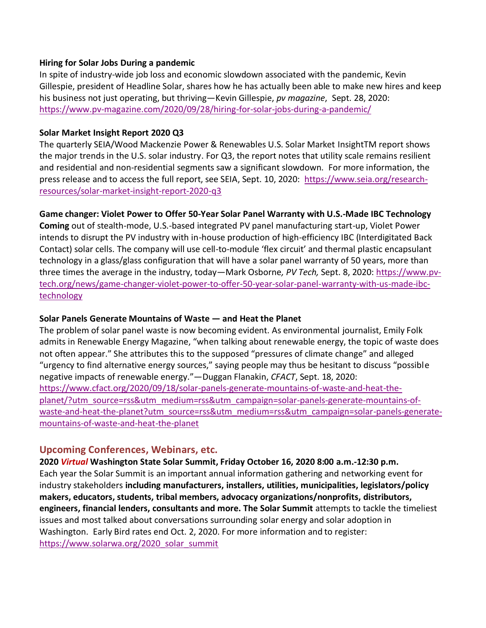#### **Hiring for Solar Jobs During a pandemic**

In spite of industry-wide job loss and economic slowdown associated with the pandemic, Kevin Gillespie, president of Headline Solar, shares how he has actually been able to make new hires and keep his business not just operating, but thriving—Kevin Gillespie, *pv magazine*, Sept. 28, 2020: <https://www.pv-magazine.com/2020/09/28/hiring-for-solar-jobs-during-a-pandemic/>

#### **Solar Market Insight Report 2020 Q3**

The quarterly SEIA/Wood Mackenzie Power & Renewables U.S. Solar Market InsightTM report shows the major trends in the U.S. solar industry. For Q3, the report notes that utility scale remains resilient and residential and non-residential segments saw a significant slowdown. For more information, the press release and to access the full report, see SEIA, Sept. 10, 2020: [https://www.seia.org/research](https://www.seia.org/research-resources/solar-market-insight-report-2020-q3)[resources/solar-market-insight-report-2020-q3](https://www.seia.org/research-resources/solar-market-insight-report-2020-q3)

#### **Game changer: Violet Power to Offer 50-Year Solar Panel Warranty with U.S.-Made IBC Technology**

**Coming** out of stealth-mode, U.S.-based integrated PV panel manufacturing start-up, Violet Power intends to disrupt the PV industry with in-house production of high-efficiency IBC (Interdigitated Back Contact) solar cells. The company will use cell-to-module 'flex circuit' and thermal plastic encapsulant technology in a glass/glass configuration that will have a solar panel warranty of 50 years, more than three times the average in the industry, today—Mark Osborne*, PV Tech,* Sept. 8, 2020[: https://www.pv](https://www.pv-tech.org/news/game-changer-violet-power-to-offer-50-year-solar-panel-warranty-with-us-made-ibc-technology)[tech.org/news/game-changer-violet-power-to-offer-50-year-solar-panel-warranty-with-us-made-ibc](https://www.pv-tech.org/news/game-changer-violet-power-to-offer-50-year-solar-panel-warranty-with-us-made-ibc-technology)[technology](https://www.pv-tech.org/news/game-changer-violet-power-to-offer-50-year-solar-panel-warranty-with-us-made-ibc-technology)

#### **Solar Panels Generate Mountains of Waste — and Heat the Planet**

The problem of solar panel waste is now becoming evident. As environmental journalist, [Emily Folk](https://www.renewableenergymagazine.com/emily-folk/waste-in-the-renewable-energy-industry-and-20200305)  [admits](https://www.renewableenergymagazine.com/emily-folk/waste-in-the-renewable-energy-industry-and-20200305) in Renewable Energy Magazine, "when talking about renewable energy, the topic of waste does not often appear." She attributes this to the supposed "pressures of climate change" and alleged "urgency to find alternative energy sources," saying people may thus be hesitant to discuss "possible negative impacts of renewable energy."—Duggan Flanakin, *CFACT*, Sept. 18, 2020: [https://www.cfact.org/2020/09/18/solar-panels-generate-mountains-of-waste-and-heat-the](https://www.cfact.org/2020/09/18/solar-panels-generate-mountains-of-waste-and-heat-the-planet/?utm_source=rss&utm_medium=rss&utm_campaign=solar-panels-generate-mountains-of-waste-and-heat-the-planet?utm_source=rss&utm_medium=rss&utm_campaign=solar-panels-generate-mountains-of-waste-and-heat-the-planet)[planet/?utm\\_source=rss&utm\\_medium=rss&utm\\_campaign=solar-panels-generate-mountains-of](https://www.cfact.org/2020/09/18/solar-panels-generate-mountains-of-waste-and-heat-the-planet/?utm_source=rss&utm_medium=rss&utm_campaign=solar-panels-generate-mountains-of-waste-and-heat-the-planet?utm_source=rss&utm_medium=rss&utm_campaign=solar-panels-generate-mountains-of-waste-and-heat-the-planet)[waste-and-heat-the-planet?utm\\_source=rss&utm\\_medium=rss&utm\\_campaign=solar-panels-generate](https://www.cfact.org/2020/09/18/solar-panels-generate-mountains-of-waste-and-heat-the-planet/?utm_source=rss&utm_medium=rss&utm_campaign=solar-panels-generate-mountains-of-waste-and-heat-the-planet?utm_source=rss&utm_medium=rss&utm_campaign=solar-panels-generate-mountains-of-waste-and-heat-the-planet)[mountains-of-waste-and-heat-the-planet](https://www.cfact.org/2020/09/18/solar-panels-generate-mountains-of-waste-and-heat-the-planet/?utm_source=rss&utm_medium=rss&utm_campaign=solar-panels-generate-mountains-of-waste-and-heat-the-planet?utm_source=rss&utm_medium=rss&utm_campaign=solar-panels-generate-mountains-of-waste-and-heat-the-planet) 

## **Upcoming Conferences, Webinars, etc.**

**2020** *Virtual* **Washington State Solar Summit, Friday October 16, 2020 8:00 a.m.-12:30 p.m.** Each year the Solar Summit is an important annual information gathering and networking event for industry stakeholders **including manufacturers, installers, utilities, municipalities, legislators/policy makers, educators, students, tribal members, advocacy organizations/nonprofits, distributors, engineers, financial lenders, consultants and more. The Solar Summit** attempts to tackle the timeliest issues and most talked about conversations surrounding solar energy and solar adoption in Washington. Early Bird rates end Oct. 2, 2020. For more information and to register: [https://www.solarwa.org/2020\\_solar\\_summit](https://www.solarwa.org/2020_solar_summit)